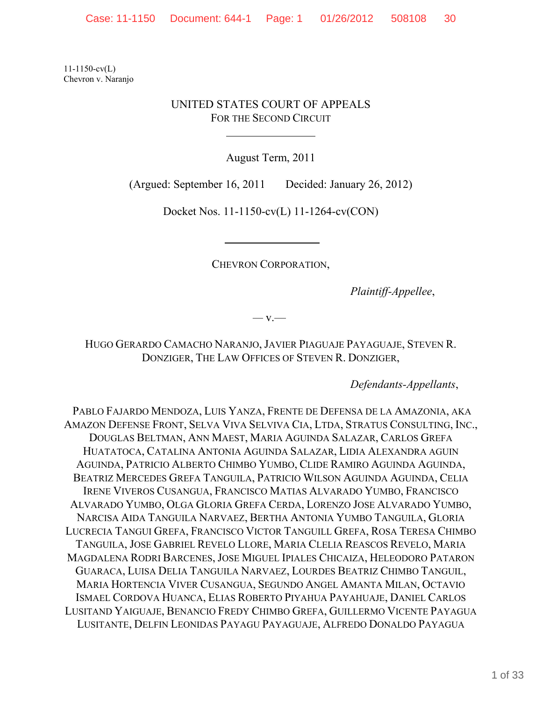11-1150-cv(L) Chevron v. Naranjo

# UNITED STATES COURT OF APPEALS FOR THE SECOND CIRCUIT

 $\overline{a}$ 

August Term, 2011

(Argued: September 16, 2011 Decided: January 26, 2012)

Docket Nos. 11-1150-cv(L) 11-1264-cv(CON)

CHEVRON CORPORATION,

*Plaintiff-Appellee*,

*—* v.—

HUGO GERARDO CAMACHO NARANJO, JAVIER PIAGUAJE PAYAGUAJE, STEVEN R. DONZIGER, THE LAW OFFICES OF STEVEN R. DONZIGER,

*Defendants-Appellants*,

PABLO FAJARDO MENDOZA, LUIS YANZA, FRENTE DE DEFENSA DE LA AMAZONIA, AKA AMAZON DEFENSE FRONT, SELVA VIVA SELVIVA CIA, LTDA, STRATUS CONSULTING, INC., DOUGLAS BELTMAN, ANN MAEST, MARIA AGUINDA SALAZAR, CARLOS GREFA HUATATOCA, CATALINA ANTONIA AGUINDA SALAZAR, LIDIA ALEXANDRA AGUIN AGUINDA, PATRICIO ALBERTO CHIMBO YUMBO, CLIDE RAMIRO AGUINDA AGUINDA, BEATRIZ MERCEDES GREFA TANGUILA, PATRICIO WILSON AGUINDA AGUINDA, CELIA IRENE VIVEROS CUSANGUA, FRANCISCO MATIAS ALVARADO YUMBO, FRANCISCO ALVARADO YUMBO, OLGA GLORIA GREFA CERDA, LORENZO JOSE ALVARADO YUMBO, NARCISA AIDA TANGUILA NARVAEZ, BERTHA ANTONIA YUMBO TANGUILA, GLORIA LUCRECIA TANGUI GREFA, FRANCISCO VICTOR TANGUILL GREFA, ROSA TERESA CHIMBO TANGUILA, JOSE GABRIEL REVELO LLORE, MARIA CLELIA REASCOS REVELO, MARIA MAGDALENA RODRI BARCENES, JOSE MIGUEL IPIALES CHICAIZA, HELEODORO PATARON GUARACA, LUISA DELIA TANGUILA NARVAEZ, LOURDES BEATRIZ CHIMBO TANGUIL, MARIA HORTENCIA VIVER CUSANGUA, SEGUNDO ANGEL AMANTA MILAN, OCTAVIO ISMAEL CORDOVA HUANCA, ELIAS ROBERTO PIYAHUA PAYAHUAJE, DANIEL CARLOS LUSITAND YAIGUAJE, BENANCIO FREDY CHIMBO GREFA, GUILLERMO VICENTE PAYAGUA LUSITANTE, DELFIN LEONIDAS PAYAGU PAYAGUAJE, ALFREDO DONALDO PAYAGUA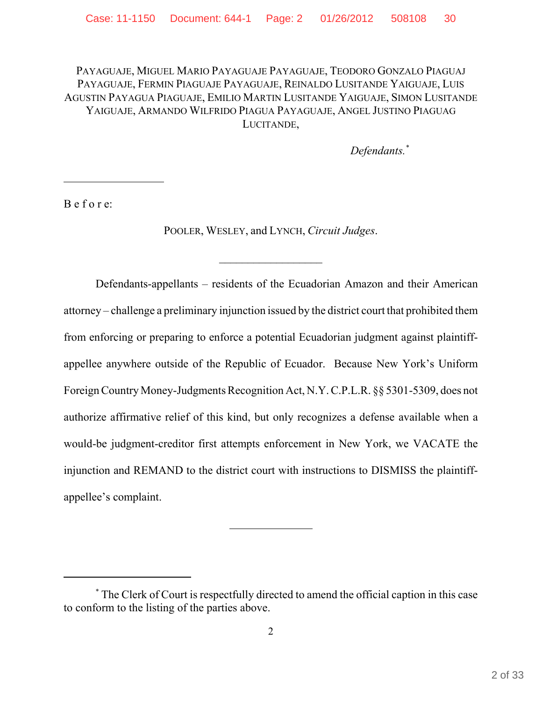PAYAGUAJE, MIGUEL MARIO PAYAGUAJE PAYAGUAJE, TEODORO GONZALO PIAGUAJ PAYAGUAJE, FERMIN PIAGUAJE PAYAGUAJE, REINALDO LUSITANDE YAIGUAJE, LUIS AGUSTIN PAYAGUA PIAGUAJE, EMILIO MARTIN LUSITANDE YAIGUAJE, SIMON LUSITANDE YAIGUAJE, ARMANDO WILFRIDO PIAGUA PAYAGUAJE, ANGEL JUSTINO PIAGUAG LUCITANDE,

*Defendants.\**

B e f o r e:

l

POOLER, WESLEY, and LYNCH, *Circuit Judges*.

Defendants-appellants – residents of the Ecuadorian Amazon and their American attorney – challenge a preliminary injunction issued by the district court that prohibited them from enforcing or preparing to enforce a potential Ecuadorian judgment against plaintiffappellee anywhere outside of the Republic of Ecuador. Because New York's Uniform Foreign Country Money-Judgments Recognition Act, N.Y. C.P.L.R. §§ 5301-5309, does not authorize affirmative relief of this kind, but only recognizes a defense available when a would-be judgment-creditor first attempts enforcement in New York, we VACATE the injunction and REMAND to the district court with instructions to DISMISS the plaintiffappellee's complaint.

 $\ddot{\phantom{a}}$ 

<sup>\*</sup> The Clerk of Court is respectfully directed to amend the official caption in this case to conform to the listing of the parties above.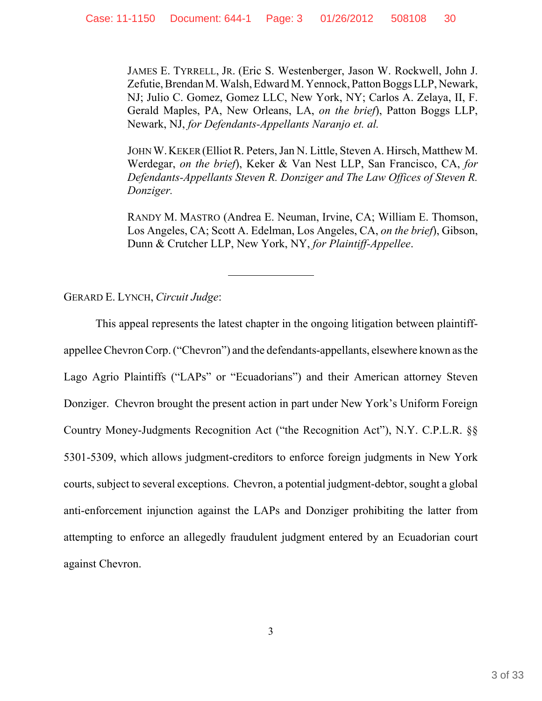JAMES E. TYRRELL, JR. (Eric S. Westenberger, Jason W. Rockwell, John J. Zefutie, Brendan M. Walsh, Edward M. Yennock, Patton Boggs LLP, Newark, NJ; Julio C. Gomez, Gomez LLC, New York, NY; Carlos A. Zelaya, II, F. Gerald Maples, PA, New Orleans, LA, *on the brief*), Patton Boggs LLP, Newark, NJ, *for Defendants-Appellants Naranjo et. al.* 

JOHN W.KEKER (Elliot R. Peters, Jan N. Little, Steven A. Hirsch, Matthew M. Werdegar, *on the brief*), Keker & Van Nest LLP, San Francisco, CA, *for Defendants-Appellants Steven R. Donziger and The Law Offices of Steven R. Donziger.*

RANDY M. MASTRO (Andrea E. Neuman, Irvine, CA; William E. Thomson, Los Angeles, CA; Scott A. Edelman, Los Angeles, CA, *on the brief*), Gibson, Dunn & Crutcher LLP, New York, NY, *for Plaintiff-Appellee*.

GERARD E. LYNCH, *Circuit Judge*:

This appeal represents the latest chapter in the ongoing litigation between plaintiffappellee Chevron Corp. ("Chevron") and the defendants-appellants, elsewhere known as the Lago Agrio Plaintiffs ("LAPs" or "Ecuadorians") and their American attorney Steven Donziger. Chevron brought the present action in part under New York's Uniform Foreign Country Money-Judgments Recognition Act ("the Recognition Act"), N.Y. C.P.L.R. §§ 5301-5309, which allows judgment-creditors to enforce foreign judgments in New York courts, subject to several exceptions. Chevron, a potential judgment-debtor, sought a global anti-enforcement injunction against the LAPs and Donziger prohibiting the latter from attempting to enforce an allegedly fraudulent judgment entered by an Ecuadorian court against Chevron.

 $\ddot{\phantom{a}}$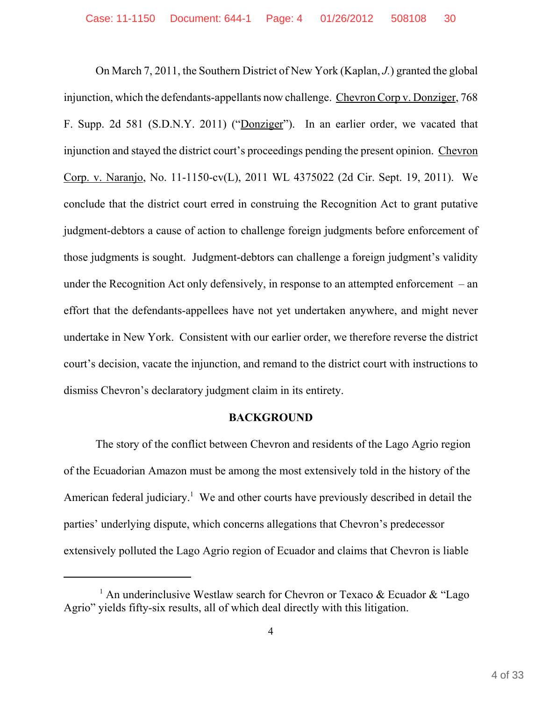On March 7, 2011, the Southern District of New York (Kaplan, *J.*) granted the global injunction, which the defendants-appellants now challenge. Chevron Corp v. Donziger, 768 F. Supp. 2d 581 (S.D.N.Y. 2011) ("Donziger"). In an earlier order, we vacated that injunction and stayed the district court's proceedings pending the present opinion. Chevron Corp. v. Naranjo, No. 11-1150-cv(L), 2011 WL 4375022 (2d Cir. Sept. 19, 2011). We conclude that the district court erred in construing the Recognition Act to grant putative judgment-debtors a cause of action to challenge foreign judgments before enforcement of those judgments is sought. Judgment-debtors can challenge a foreign judgment's validity under the Recognition Act only defensively, in response to an attempted enforcement – an effort that the defendants-appellees have not yet undertaken anywhere, and might never undertake in New York. Consistent with our earlier order, we therefore reverse the district court's decision, vacate the injunction, and remand to the district court with instructions to dismiss Chevron's declaratory judgment claim in its entirety.

# **BACKGROUND**

The story of the conflict between Chevron and residents of the Lago Agrio region of the Ecuadorian Amazon must be among the most extensively told in the history of the American federal judiciary.<sup>1</sup> We and other courts have previously described in detail the parties' underlying dispute, which concerns allegations that Chevron's predecessor extensively polluted the Lago Agrio region of Ecuador and claims that Chevron is liable

<sup>&</sup>lt;sup>1</sup> An underinclusive Westlaw search for Chevron or Texaco & Ecuador & "Lago Agrio" yields fifty-six results, all of which deal directly with this litigation.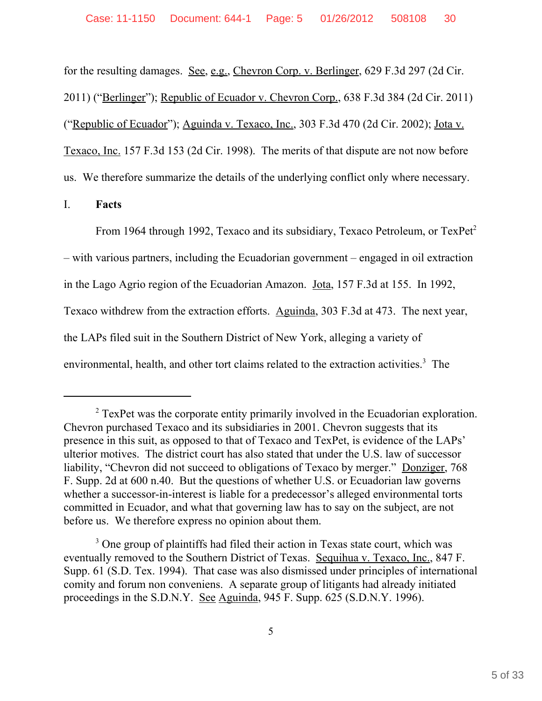for the resulting damages. See, e.g., Chevron Corp. v. Berlinger, 629 F.3d 297 (2d Cir. 2011) ("Berlinger"); Republic of Ecuador v. Chevron Corp., 638 F.3d 384 (2d Cir. 2011) ("Republic of Ecuador"); Aguinda v. Texaco, Inc., 303 F.3d 470 (2d Cir. 2002); Jota v. Texaco, Inc. 157 F.3d 153 (2d Cir. 1998). The merits of that dispute are not now before us. We therefore summarize the details of the underlying conflict only where necessary.

I. **Facts**

From 1964 through 1992, Texaco and its subsidiary, Texaco Petroleum, or TexPet<sup>2</sup> – with various partners, including the Ecuadorian government – engaged in oil extraction in the Lago Agrio region of the Ecuadorian Amazon. Jota, 157 F.3d at 155. In 1992, Texaco withdrew from the extraction efforts. Aguinda, 303 F.3d at 473. The next year, the LAPs filed suit in the Southern District of New York, alleging a variety of environmental, health, and other tort claims related to the extraction activities.<sup>3</sup> The

 $2^2$  TexPet was the corporate entity primarily involved in the Ecuadorian exploration. Chevron purchased Texaco and its subsidiaries in 2001. Chevron suggests that its presence in this suit, as opposed to that of Texaco and TexPet, is evidence of the LAPs' ulterior motives.The district court has also stated that under the U.S. law of successor liability, "Chevron did not succeed to obligations of Texaco by merger." Donziger, 768 F. Supp. 2d at 600 n.40. But the questions of whether U.S. or Ecuadorian law governs whether a successor-in-interest is liable for a predecessor's alleged environmental torts committed in Ecuador, and what that governing law has to say on the subject, are not before us. We therefore express no opinion about them.

<sup>&</sup>lt;sup>3</sup> One group of plaintiffs had filed their action in Texas state court, which was eventually removed to the Southern District of Texas. Sequihua v. Texaco, Inc., 847 F. Supp. 61 (S.D. Tex. 1994). That case was also dismissed under principles of international comity and forum non conveniens. A separate group of litigants had already initiated proceedings in the S.D.N.Y. See Aguinda, 945 F. Supp. 625 (S.D.N.Y. 1996).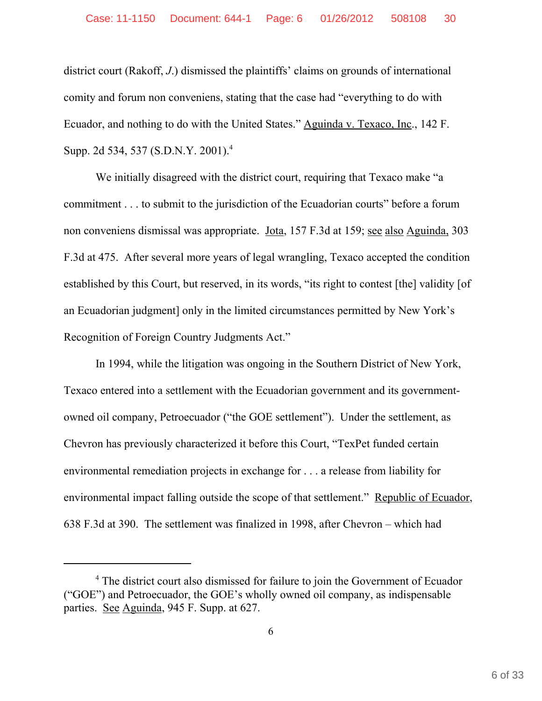district court (Rakoff, *J*.) dismissed the plaintiffs' claims on grounds of international comity and forum non conveniens, stating that the case had "everything to do with Ecuador, and nothing to do with the United States." Aguinda v. Texaco, Inc., 142 F. Supp. 2d 534, 537 (S.D.N.Y. 2001).<sup>4</sup>

We initially disagreed with the district court, requiring that Texaco make "a commitment . . . to submit to the jurisdiction of the Ecuadorian courts" before a forum non conveniens dismissal was appropriate. Jota, 157 F.3d at 159; see also Aguinda, 303 F.3d at 475. After several more years of legal wrangling, Texaco accepted the condition established by this Court, but reserved, in its words, "its right to contest [the] validity [of an Ecuadorian judgment] only in the limited circumstances permitted by New York's Recognition of Foreign Country Judgments Act."

In 1994, while the litigation was ongoing in the Southern District of New York, Texaco entered into a settlement with the Ecuadorian government and its governmentowned oil company, Petroecuador ("the GOE settlement"). Under the settlement, as Chevron has previously characterized it before this Court, "TexPet funded certain environmental remediation projects in exchange for . . . a release from liability for environmental impact falling outside the scope of that settlement." Republic of Ecuador, 638 F.3d at 390. The settlement was finalized in 1998, after Chevron – which had

<sup>&</sup>lt;sup>4</sup> The district court also dismissed for failure to join the Government of Ecuador ("GOE") and Petroecuador, the GOE's wholly owned oil company, as indispensable parties. See Aguinda, 945 F. Supp. at 627.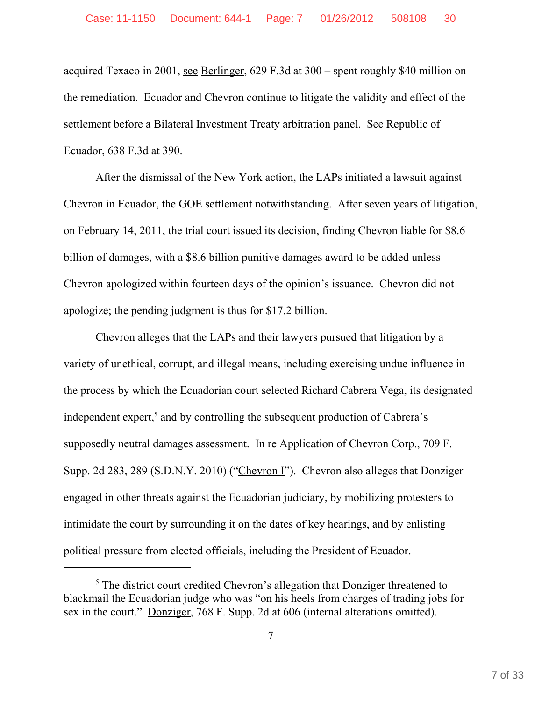acquired Texaco in 2001, see Berlinger, 629 F.3d at 300 – spent roughly \$40 million on the remediation. Ecuador and Chevron continue to litigate the validity and effect of the settlement before a Bilateral Investment Treaty arbitration panel. See Republic of Ecuador, 638 F.3d at 390.

After the dismissal of the New York action, the LAPs initiated a lawsuit against Chevron in Ecuador, the GOE settlement notwithstanding. After seven years of litigation, on February 14, 2011, the trial court issued its decision, finding Chevron liable for \$8.6 billion of damages, with a \$8.6 billion punitive damages award to be added unless Chevron apologized within fourteen days of the opinion's issuance. Chevron did not apologize; the pending judgment is thus for \$17.2 billion.

Chevron alleges that the LAPs and their lawyers pursued that litigation by a variety of unethical, corrupt, and illegal means, including exercising undue influence in the process by which the Ecuadorian court selected Richard Cabrera Vega, its designated independent expert,<sup>5</sup> and by controlling the subsequent production of Cabrera's supposedly neutral damages assessment. In re Application of Chevron Corp., 709 F. Supp. 2d 283, 289 (S.D.N.Y. 2010) ("Chevron I"). Chevron also alleges that Donziger engaged in other threats against the Ecuadorian judiciary, by mobilizing protesters to intimidate the court by surrounding it on the dates of key hearings, and by enlisting political pressure from elected officials, including the President of Ecuador.

<sup>&</sup>lt;sup>5</sup> The district court credited Chevron's allegation that Donziger threatened to blackmail the Ecuadorian judge who was "on his heels from charges of trading jobs for sex in the court." Donziger, 768 F. Supp. 2d at 606 (internal alterations omitted).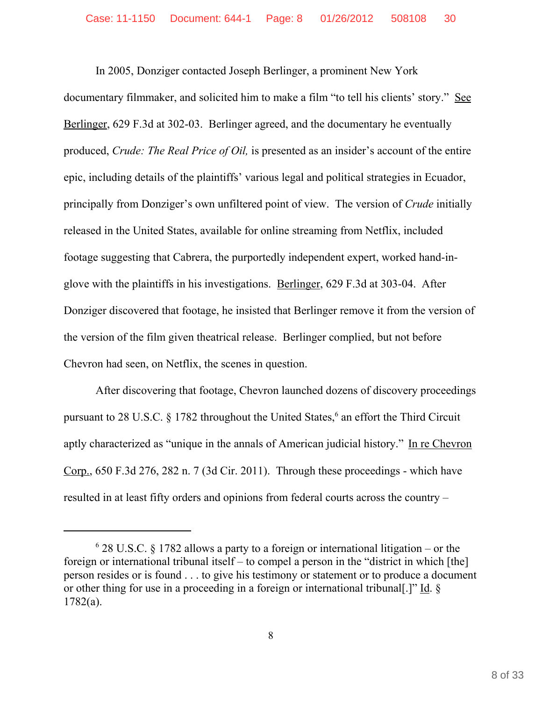In 2005, Donziger contacted Joseph Berlinger, a prominent New York documentary filmmaker, and solicited him to make a film "to tell his clients' story." See Berlinger, 629 F.3d at 302-03. Berlinger agreed, and the documentary he eventually produced, *Crude: The Real Price of Oil,* is presented as an insider's account of the entire epic, including details of the plaintiffs' various legal and political strategies in Ecuador, principally from Donziger's own unfiltered point of view. The version of *Crude* initially released in the United States, available for online streaming from Netflix, included footage suggesting that Cabrera, the purportedly independent expert, worked hand-inglove with the plaintiffs in his investigations. Berlinger, 629 F.3d at 303-04. After Donziger discovered that footage, he insisted that Berlinger remove it from the version of the version of the film given theatrical release. Berlinger complied, but not before Chevron had seen, on Netflix, the scenes in question.

After discovering that footage, Chevron launched dozens of discovery proceedings pursuant to 28 U.S.C. § 1782 throughout the United States,<sup>6</sup> an effort the Third Circuit aptly characterized as "unique in the annals of American judicial history." In re Chevron Corp., 650 F.3d 276, 282 n. 7 (3d Cir. 2011). Through these proceedings - which have resulted in at least fifty orders and opinions from federal courts across the country –

<sup>6</sup> 28 U.S.C. § 1782 allows a party to a foreign or international litigation – or the foreign or international tribunal itself – to compel a person in the "district in which [the] person resides or is found . . . to give his testimony or statement or to produce a document or other thing for use in a proceeding in a foreign or international tribunal[.]" Id. § 1782(a).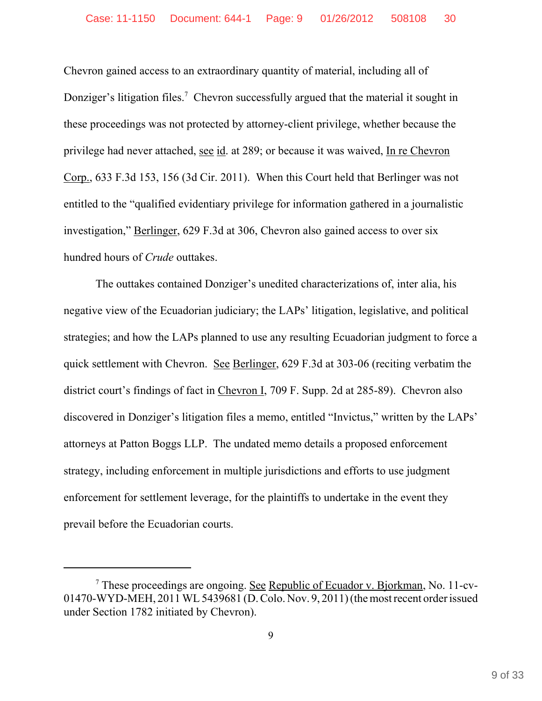Chevron gained access to an extraordinary quantity of material, including all of Donziger's litigation files.<sup>7</sup> Chevron successfully argued that the material it sought in these proceedings was not protected by attorney-client privilege, whether because the privilege had never attached, see id. at 289; or because it was waived, In re Chevron Corp., 633 F.3d 153, 156 (3d Cir. 2011). When this Court held that Berlinger was not entitled to the "qualified evidentiary privilege for information gathered in a journalistic investigation," Berlinger, 629 F.3d at 306, Chevron also gained access to over six hundred hours of *Crude* outtakes.

The outtakes contained Donziger's unedited characterizations of, inter alia, his negative view of the Ecuadorian judiciary; the LAPs' litigation, legislative, and political strategies; and how the LAPs planned to use any resulting Ecuadorian judgment to force a quick settlement with Chevron. See Berlinger, 629 F.3d at 303-06 (reciting verbatim the district court's findings of fact in Chevron I, 709 F. Supp. 2d at 285-89). Chevron also discovered in Donziger's litigation files a memo, entitled "Invictus," written by the LAPs' attorneys at Patton Boggs LLP. The undated memo details a proposed enforcement strategy, including enforcement in multiple jurisdictions and efforts to use judgment enforcement for settlement leverage, for the plaintiffs to undertake in the event they prevail before the Ecuadorian courts.

<sup>&</sup>lt;sup>7</sup> These proceedings are ongoing. See Republic of Ecuador v. Bjorkman, No. 11-cv-01470-WYD-MEH, 2011 WL 5439681 (D. Colo. Nov. 9, 2011) (the most recent order issued under Section 1782 initiated by Chevron).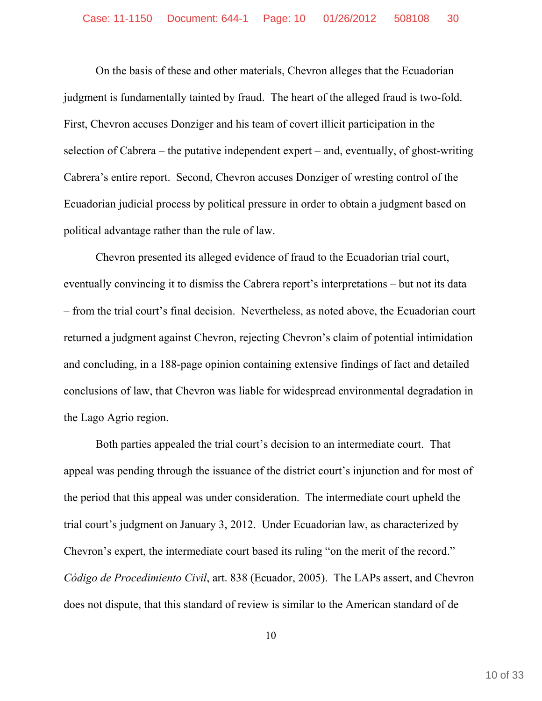On the basis of these and other materials, Chevron alleges that the Ecuadorian judgment is fundamentally tainted by fraud. The heart of the alleged fraud is two-fold. First, Chevron accuses Donziger and his team of covert illicit participation in the selection of Cabrera – the putative independent expert – and, eventually, of ghost-writing Cabrera's entire report. Second, Chevron accuses Donziger of wresting control of the Ecuadorian judicial process by political pressure in order to obtain a judgment based on political advantage rather than the rule of law.

Chevron presented its alleged evidence of fraud to the Ecuadorian trial court, eventually convincing it to dismiss the Cabrera report's interpretations – but not its data – from the trial court's final decision. Nevertheless, as noted above, the Ecuadorian court returned a judgment against Chevron, rejecting Chevron's claim of potential intimidation and concluding, in a 188-page opinion containing extensive findings of fact and detailed conclusions of law, that Chevron was liable for widespread environmental degradation in the Lago Agrio region.

Both parties appealed the trial court's decision to an intermediate court. That appeal was pending through the issuance of the district court's injunction and for most of the period that this appeal was under consideration. The intermediate court upheld the trial court's judgment on January 3, 2012. Under Ecuadorian law, as characterized by Chevron's expert, the intermediate court based its ruling "on the merit of the record." *Código de Procedimiento Civil*, art. 838 (Ecuador, 2005). The LAPs assert, and Chevron does not dispute, that this standard of review is similar to the American standard of de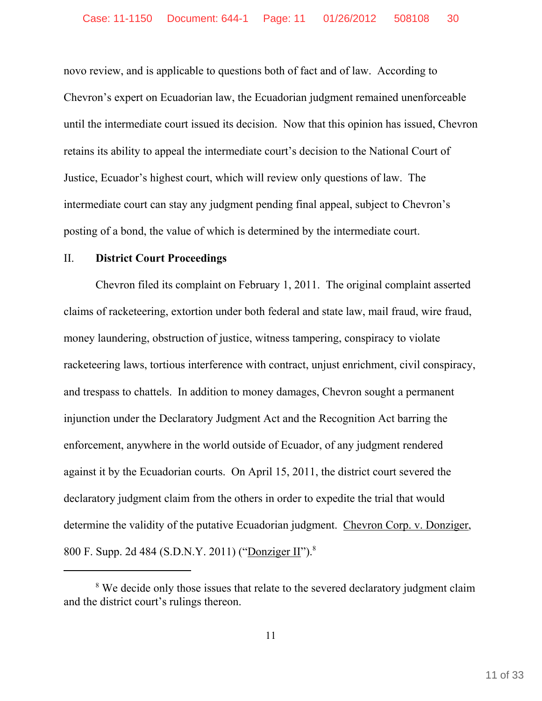novo review, and is applicable to questions both of fact and of law. According to Chevron's expert on Ecuadorian law, the Ecuadorian judgment remained unenforceable until the intermediate court issued its decision. Now that this opinion has issued, Chevron retains its ability to appeal the intermediate court's decision to the National Court of Justice, Ecuador's highest court, which will review only questions of law. The intermediate court can stay any judgment pending final appeal, subject to Chevron's posting of a bond, the value of which is determined by the intermediate court.

### II. **District Court Proceedings**

Chevron filed its complaint on February 1, 2011. The original complaint asserted claims of racketeering, extortion under both federal and state law, mail fraud, wire fraud, money laundering, obstruction of justice, witness tampering, conspiracy to violate racketeering laws, tortious interference with contract, unjust enrichment, civil conspiracy, and trespass to chattels. In addition to money damages, Chevron sought a permanent injunction under the Declaratory Judgment Act and the Recognition Act barring the enforcement, anywhere in the world outside of Ecuador, of any judgment rendered against it by the Ecuadorian courts. On April 15, 2011, the district court severed the declaratory judgment claim from the others in order to expedite the trial that would determine the validity of the putative Ecuadorian judgment. Chevron Corp. v. Donziger, 800 F. Supp. 2d 484 (S.D.N.Y. 2011) ("Donziger II").8

<sup>&</sup>lt;sup>8</sup> We decide only those issues that relate to the severed declaratory judgment claim and the district court's rulings thereon.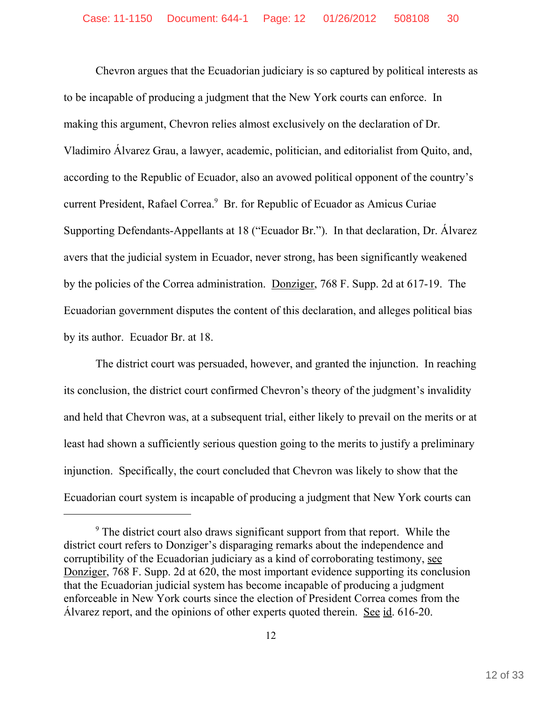Chevron argues that the Ecuadorian judiciary is so captured by political interests as to be incapable of producing a judgment that the New York courts can enforce. In making this argument, Chevron relies almost exclusively on the declaration of Dr. Vladimiro Álvarez Grau, a lawyer, academic, politician, and editorialist from Quito, and, according to the Republic of Ecuador, also an avowed political opponent of the country's current President, Rafael Correa.<sup>9</sup> Br. for Republic of Ecuador as Amicus Curiae Supporting Defendants-Appellants at 18 ("Ecuador Br."). In that declaration, Dr. Álvarez avers that the judicial system in Ecuador, never strong, has been significantly weakened by the policies of the Correa administration. Donziger, 768 F. Supp. 2d at 617-19. The Ecuadorian government disputes the content of this declaration, and alleges political bias by its author. Ecuador Br. at 18.

The district court was persuaded, however, and granted the injunction. In reaching its conclusion, the district court confirmed Chevron's theory of the judgment's invalidity and held that Chevron was, at a subsequent trial, either likely to prevail on the merits or at least had shown a sufficiently serious question going to the merits to justify a preliminary injunction. Specifically, the court concluded that Chevron was likely to show that the Ecuadorian court system is incapable of producing a judgment that New York courts can

<sup>&</sup>lt;sup>9</sup> The district court also draws significant support from that report. While the district court refers to Donziger's disparaging remarks about the independence and corruptibility of the Ecuadorian judiciary as a kind of corroborating testimony, see Donziger, 768 F. Supp. 2d at 620, the most important evidence supporting its conclusion that the Ecuadorian judicial system has become incapable of producing a judgment enforceable in New York courts since the election of President Correa comes from the Álvarez report, and the opinions of other experts quoted therein. See id. 616-20.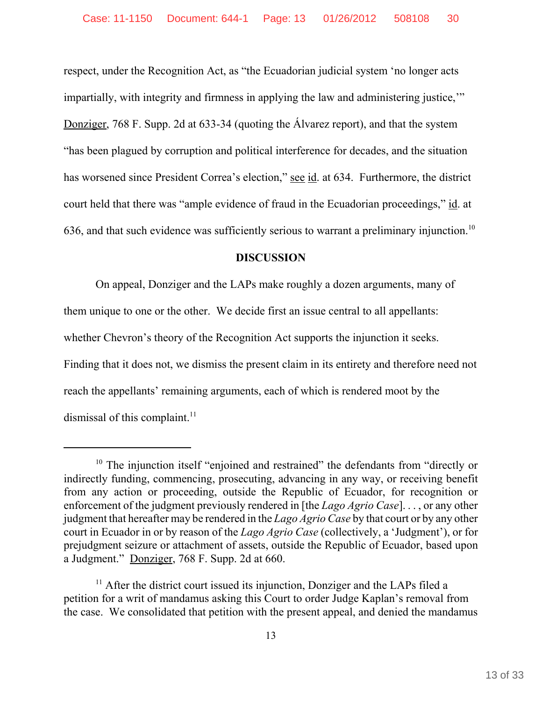respect, under the Recognition Act, as "the Ecuadorian judicial system 'no longer acts impartially, with integrity and firmness in applying the law and administering justice,'" Donziger, 768 F. Supp. 2d at 633-34 (quoting the Álvarez report), and that the system "has been plagued by corruption and political interference for decades, and the situation has worsened since President Correa's election," see id. at 634. Furthermore, the district court held that there was "ample evidence of fraud in the Ecuadorian proceedings," id. at 636, and that such evidence was sufficiently serious to warrant a preliminary injunction.<sup>10</sup>

### **DISCUSSION**

On appeal, Donziger and the LAPs make roughly a dozen arguments, many of them unique to one or the other. We decide first an issue central to all appellants: whether Chevron's theory of the Recognition Act supports the injunction it seeks. Finding that it does not, we dismiss the present claim in its entirety and therefore need not reach the appellants' remaining arguments, each of which is rendered moot by the dismissal of this complaint.<sup>11</sup>

<sup>&</sup>lt;sup>10</sup> The injunction itself "enjoined and restrained" the defendants from "directly or indirectly funding, commencing, prosecuting, advancing in any way, or receiving benefit from any action or proceeding, outside the Republic of Ecuador, for recognition or enforcement of the judgment previously rendered in [the *Lago Agrio Case*]. . . , or any other judgment that hereafter may be rendered in the *Lago Agrio Case* by that court or by any other court in Ecuador in or by reason of the *Lago Agrio Case* (collectively, a 'Judgment'), or for prejudgment seizure or attachment of assets, outside the Republic of Ecuador, based upon a Judgment." Donziger, 768 F. Supp. 2d at 660.

 $11$  After the district court issued its injunction, Donziger and the LAPs filed a petition for a writ of mandamus asking this Court to order Judge Kaplan's removal from the case. We consolidated that petition with the present appeal, and denied the mandamus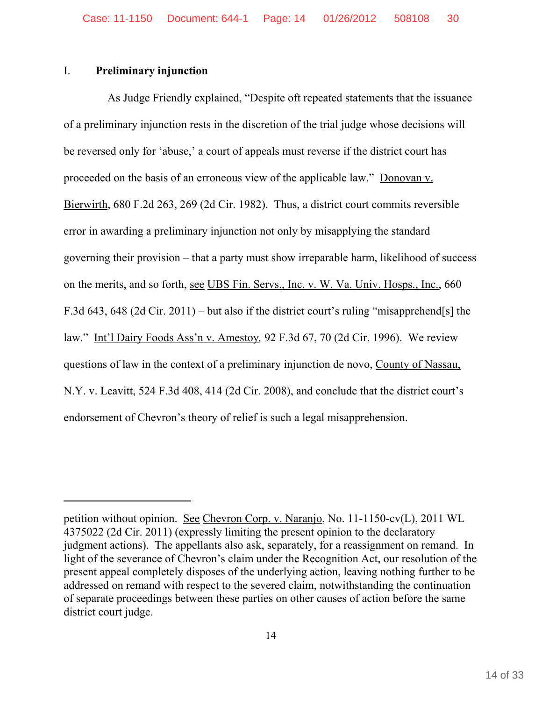### I. **Preliminary injunction**

As Judge Friendly explained, "Despite oft repeated statements that the issuance of a preliminary injunction rests in the discretion of the trial judge whose decisions will be reversed only for 'abuse,' a court of appeals must reverse if the district court has proceeded on the basis of an erroneous view of the applicable law." Donovan v. Bierwirth, 680 F.2d 263, 269 (2d Cir. 1982). Thus, a district court commits reversible error in awarding a preliminary injunction not only by misapplying the standard governing their provision – that a party must show irreparable harm, likelihood of success on the merits, and so forth, see UBS Fin. Servs., Inc. v. W. Va. Univ. Hosps., Inc., 660 F.3d 643, 648 (2d Cir. 2011) – but also if the district court's ruling "misapprehend[s] the law." Int'l Dairy Foods Ass'n v. Amestoy*,* 92 F.3d 67, 70 (2d Cir. 1996). We review questions of law in the context of a preliminary injunction de novo, County of Nassau, N.Y. v. Leavitt, 524 F.3d 408, 414 (2d Cir. 2008), and conclude that the district court's endorsement of Chevron's theory of relief is such a legal misapprehension.

petition without opinion. See Chevron Corp. v. Naranjo, No. 11-1150-cv(L), 2011 WL 4375022 (2d Cir. 2011) (expressly limiting the present opinion to the declaratory judgment actions). The appellants also ask, separately, for a reassignment on remand. In light of the severance of Chevron's claim under the Recognition Act, our resolution of the present appeal completely disposes of the underlying action, leaving nothing further to be addressed on remand with respect to the severed claim, notwithstanding the continuation of separate proceedings between these parties on other causes of action before the same district court judge.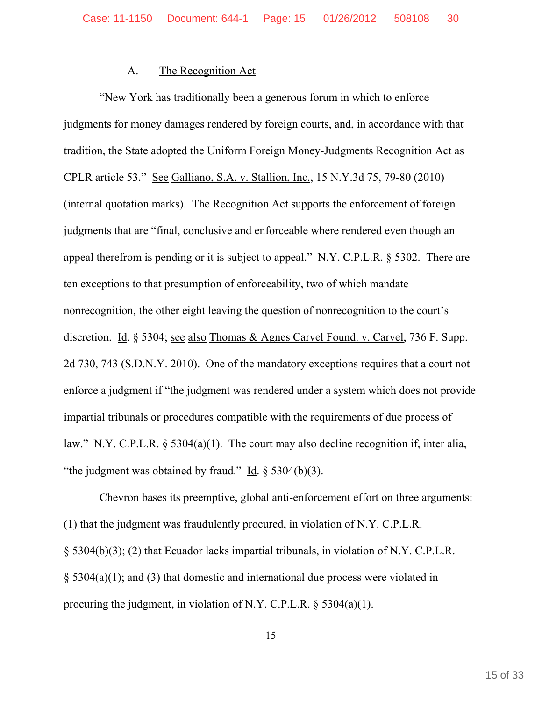### A. The Recognition Act

"New York has traditionally been a generous forum in which to enforce judgments for money damages rendered by foreign courts, and, in accordance with that tradition, the State adopted the Uniform Foreign Money-Judgments Recognition Act as CPLR article 53." See Galliano, S.A. v. Stallion, Inc., 15 N.Y.3d 75, 79-80 (2010) (internal quotation marks). The Recognition Act supports the enforcement of foreign judgments that are "final, conclusive and enforceable where rendered even though an appeal therefrom is pending or it is subject to appeal." N.Y. C.P.L.R. § 5302. There are ten exceptions to that presumption of enforceability, two of which mandate nonrecognition, the other eight leaving the question of nonrecognition to the court's discretion. Id. § 5304; see also Thomas & Agnes Carvel Found. v. Carvel, 736 F. Supp. 2d 730, 743 (S.D.N.Y. 2010). One of the mandatory exceptions requires that a court not enforce a judgment if "the judgment was rendered under a system which does not provide impartial tribunals or procedures compatible with the requirements of due process of law." N.Y. C.P.L.R. § 5304(a)(1). The court may also decline recognition if, inter alia, "the judgment was obtained by fraud." Id.  $\S$  5304(b)(3).

Chevron bases its preemptive, global anti-enforcement effort on three arguments: (1) that the judgment was fraudulently procured, in violation of N.Y. C.P.L.R. § 5304(b)(3); (2) that Ecuador lacks impartial tribunals, in violation of N.Y. C.P.L.R. § 5304(a)(1); and (3) that domestic and international due process were violated in procuring the judgment, in violation of N.Y. C.P.L.R.  $\delta$  5304(a)(1).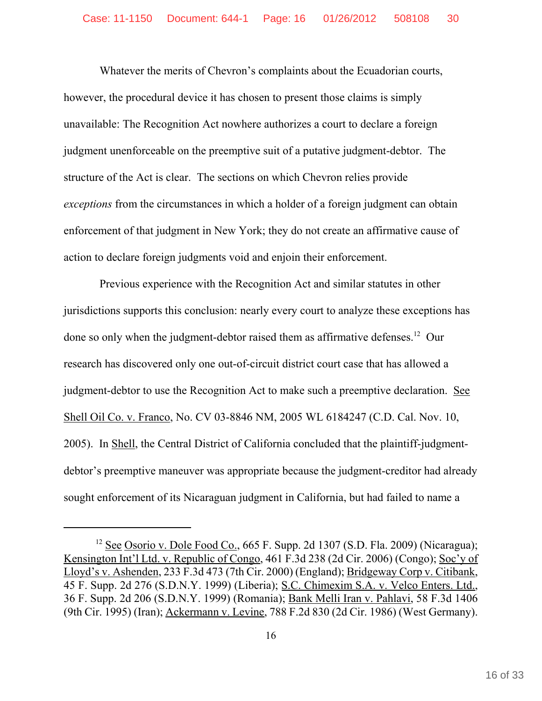Whatever the merits of Chevron's complaints about the Ecuadorian courts, however, the procedural device it has chosen to present those claims is simply unavailable: The Recognition Act nowhere authorizes a court to declare a foreign judgment unenforceable on the preemptive suit of a putative judgment-debtor. The structure of the Act is clear. The sections on which Chevron relies provide *exceptions* from the circumstances in which a holder of a foreign judgment can obtain enforcement of that judgment in New York; they do not create an affirmative cause of action to declare foreign judgments void and enjoin their enforcement.

Previous experience with the Recognition Act and similar statutes in other jurisdictions supports this conclusion: nearly every court to analyze these exceptions has done so only when the judgment-debtor raised them as affirmative defenses.<sup>12</sup> Our research has discovered only one out-of-circuit district court case that has allowed a judgment-debtor to use the Recognition Act to make such a preemptive declaration. See Shell Oil Co. v. Franco, No. CV 03-8846 NM, 2005 WL 6184247 (C.D. Cal. Nov. 10, 2005). In Shell, the Central District of California concluded that the plaintiff-judgmentdebtor's preemptive maneuver was appropriate because the judgment-creditor had already sought enforcement of its Nicaraguan judgment in California, but had failed to name a

<sup>&</sup>lt;sup>12</sup> See Osorio v. Dole Food Co.,  $665$  F. Supp. 2d 1307 (S.D. Fla. 2009) (Nicaragua); Kensington Int'l Ltd. v. Republic of Congo, 461 F.3d 238 (2d Cir. 2006) (Congo); Soc'y of Lloyd's v. Ashenden, 233 F.3d 473 (7th Cir. 2000) (England); Bridgeway Corp v. Citibank, 45 F. Supp. 2d 276 (S.D.N.Y. 1999) (Liberia); S.C. Chimexim S.A. v. Velco Enters. Ltd., 36 F. Supp. 2d 206 (S.D.N.Y. 1999) (Romania); Bank Melli Iran v. Pahlavi, 58 F.3d 1406 (9th Cir. 1995) (Iran); Ackermann v. Levine, 788 F.2d 830 (2d Cir. 1986) (West Germany).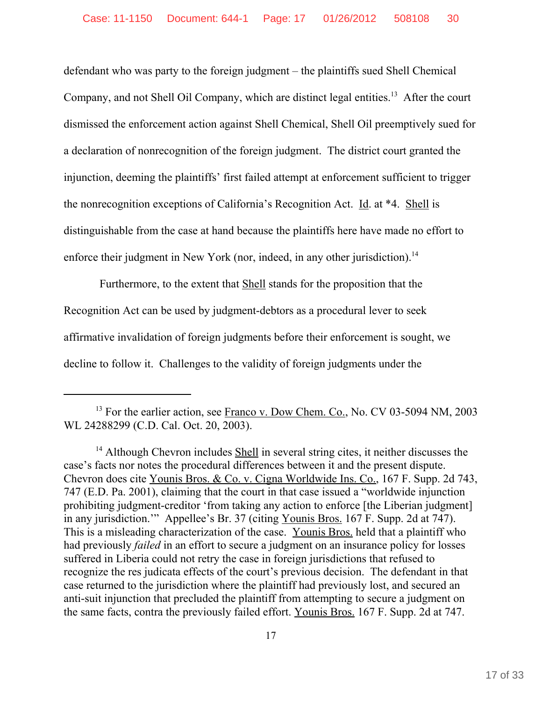defendant who was party to the foreign judgment – the plaintiffs sued Shell Chemical Company, and not Shell Oil Company, which are distinct legal entities.<sup>13</sup> After the court dismissed the enforcement action against Shell Chemical, Shell Oil preemptively sued for a declaration of nonrecognition of the foreign judgment. The district court granted the injunction, deeming the plaintiffs' first failed attempt at enforcement sufficient to trigger the nonrecognition exceptions of California's Recognition Act. Id. at \*4. Shell is distinguishable from the case at hand because the plaintiffs here have made no effort to enforce their judgment in New York (nor, indeed, in any other jurisdiction).<sup>14</sup>

Furthermore, to the extent that Shell stands for the proposition that the Recognition Act can be used by judgment-debtors as a procedural lever to seek affirmative invalidation of foreign judgments before their enforcement is sought, we decline to follow it. Challenges to the validity of foreign judgments under the

<sup>&</sup>lt;sup>13</sup> For the earlier action, see Franco v. Dow Chem. Co., No. CV 03-5094 NM, 2003 WL 24288299 (C.D. Cal. Oct. 20, 2003).

<sup>&</sup>lt;sup>14</sup> Although Chevron includes Shell in several string cites, it neither discusses the case's facts nor notes the procedural differences between it and the present dispute. Chevron does cite Younis Bros. & Co. v. Cigna Worldwide Ins. Co., 167 F. Supp. 2d 743, 747 (E.D. Pa. 2001), claiming that the court in that case issued a "worldwide injunction prohibiting judgment-creditor 'from taking any action to enforce [the Liberian judgment] in any jurisdiction.'" Appellee's Br. 37 (citing Younis Bros. 167 F. Supp. 2d at 747). This is a misleading characterization of the case. Younis Bros. held that a plaintiff who had previously *failed* in an effort to secure a judgment on an insurance policy for losses suffered in Liberia could not retry the case in foreign jurisdictions that refused to recognize the res judicata effects of the court's previous decision. The defendant in that case returned to the jurisdiction where the plaintiff had previously lost, and secured an anti-suit injunction that precluded the plaintiff from attempting to secure a judgment on the same facts, contra the previously failed effort. Younis Bros. 167 F. Supp. 2d at 747.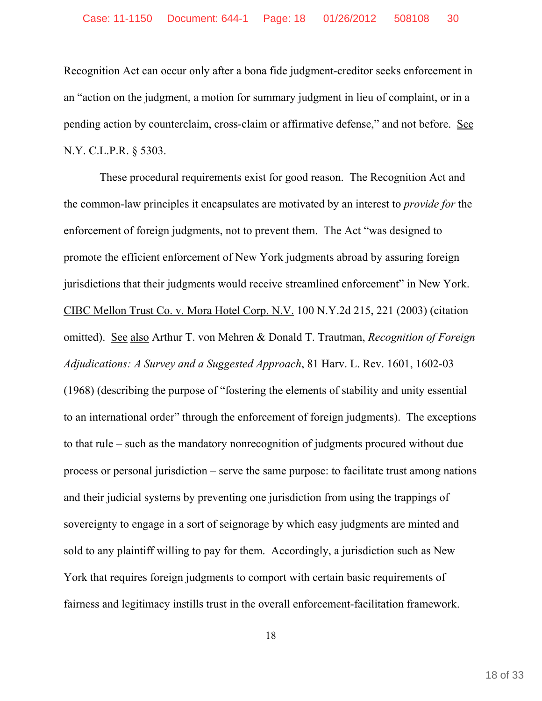Recognition Act can occur only after a bona fide judgment-creditor seeks enforcement in an "action on the judgment, a motion for summary judgment in lieu of complaint, or in a pending action by counterclaim, cross-claim or affirmative defense," and not before. See N.Y. C.L.P.R. § 5303.

These procedural requirements exist for good reason. The Recognition Act and the common-law principles it encapsulates are motivated by an interest to *provide for* the enforcement of foreign judgments, not to prevent them. The Act "was designed to promote the efficient enforcement of New York judgments abroad by assuring foreign jurisdictions that their judgments would receive streamlined enforcement" in New York. CIBC Mellon Trust Co. v. Mora Hotel Corp. N.V. 100 N.Y.2d 215, 221 (2003) (citation omitted). See also Arthur T. von Mehren & Donald T. Trautman, *Recognition of Foreign Adjudications: A Survey and a Suggested Approach*, 81 Harv. L. Rev. 1601, 1602-03 (1968) (describing the purpose of "fostering the elements of stability and unity essential to an international order" through the enforcement of foreign judgments). The exceptions to that rule – such as the mandatory nonrecognition of judgments procured without due process or personal jurisdiction – serve the same purpose: to facilitate trust among nations and their judicial systems by preventing one jurisdiction from using the trappings of sovereignty to engage in a sort of seignorage by which easy judgments are minted and sold to any plaintiff willing to pay for them. Accordingly, a jurisdiction such as New York that requires foreign judgments to comport with certain basic requirements of fairness and legitimacy instills trust in the overall enforcement-facilitation framework.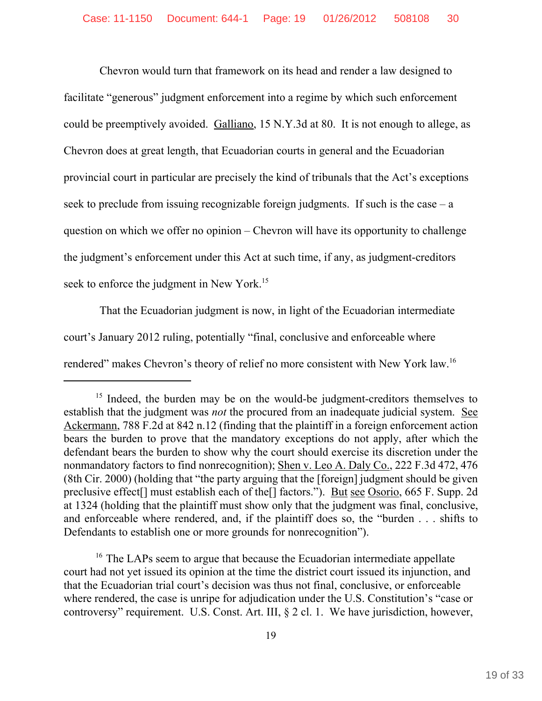Chevron would turn that framework on its head and render a law designed to facilitate "generous" judgment enforcement into a regime by which such enforcement could be preemptively avoided. Galliano, 15 N.Y.3d at 80. It is not enough to allege, as Chevron does at great length, that Ecuadorian courts in general and the Ecuadorian provincial court in particular are precisely the kind of tribunals that the Act's exceptions seek to preclude from issuing recognizable foreign judgments. If such is the case  $-a$ question on which we offer no opinion – Chevron will have its opportunity to challenge the judgment's enforcement under this Act at such time, if any, as judgment-creditors seek to enforce the judgment in New York.<sup>15</sup>

That the Ecuadorian judgment is now, in light of the Ecuadorian intermediate court's January 2012 ruling, potentially "final, conclusive and enforceable where rendered" makes Chevron's theory of relief no more consistent with New York law.16

<sup>&</sup>lt;sup>15</sup> Indeed, the burden may be on the would-be judgment-creditors themselves to establish that the judgment was *not* the procured from an inadequate judicial system. See Ackermann, 788 F.2d at 842 n.12 (finding that the plaintiff in a foreign enforcement action bears the burden to prove that the mandatory exceptions do not apply, after which the defendant bears the burden to show why the court should exercise its discretion under the nonmandatory factors to find nonrecognition); Shen v. Leo A. Daly Co., 222 F.3d 472, 476 (8th Cir. 2000) (holding that "the party arguing that the [foreign] judgment should be given preclusive effect[] must establish each of the[] factors."). But see Osorio, 665 F. Supp. 2d at 1324 (holding that the plaintiff must show only that the judgment was final, conclusive, and enforceable where rendered, and, if the plaintiff does so, the "burden . . . shifts to Defendants to establish one or more grounds for nonrecognition").

<sup>&</sup>lt;sup>16</sup> The LAPs seem to argue that because the Ecuadorian intermediate appellate court had not yet issued its opinion at the time the district court issued its injunction, and that the Ecuadorian trial court's decision was thus not final, conclusive, or enforceable where rendered, the case is unripe for adjudication under the U.S. Constitution's "case or controversy" requirement. U.S. Const. Art. III, § 2 cl. 1. We have jurisdiction, however,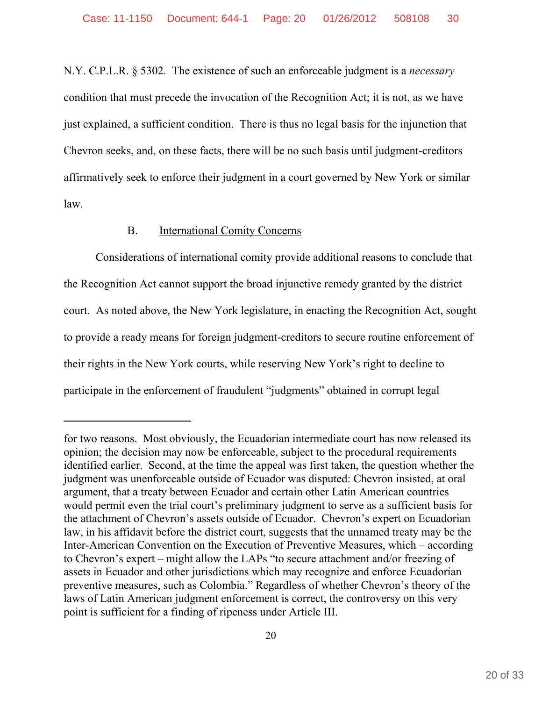N.Y. C.P.L.R. § 5302. The existence of such an enforceable judgment is a *necessary* condition that must precede the invocation of the Recognition Act; it is not, as we have just explained, a sufficient condition. There is thus no legal basis for the injunction that Chevron seeks, and, on these facts, there will be no such basis until judgment-creditors affirmatively seek to enforce their judgment in a court governed by New York or similar law.

# B. International Comity Concerns

Considerations of international comity provide additional reasons to conclude that the Recognition Act cannot support the broad injunctive remedy granted by the district court. As noted above, the New York legislature, in enacting the Recognition Act, sought to provide a ready means for foreign judgment-creditors to secure routine enforcement of their rights in the New York courts, while reserving New York's right to decline to participate in the enforcement of fraudulent "judgments" obtained in corrupt legal

for two reasons. Most obviously, the Ecuadorian intermediate court has now released its opinion; the decision may now be enforceable, subject to the procedural requirements identified earlier. Second, at the time the appeal was first taken, the question whether the judgment was unenforceable outside of Ecuador was disputed: Chevron insisted, at oral argument, that a treaty between Ecuador and certain other Latin American countries would permit even the trial court's preliminary judgment to serve as a sufficient basis for the attachment of Chevron's assets outside of Ecuador. Chevron's expert on Ecuadorian law, in his affidavit before the district court, suggests that the unnamed treaty may be the Inter-American Convention on the Execution of Preventive Measures, which – according to Chevron's expert – might allow the LAPs "to secure attachment and/or freezing of assets in Ecuador and other jurisdictions which may recognize and enforce Ecuadorian preventive measures, such as Colombia." Regardless of whether Chevron's theory of the laws of Latin American judgment enforcement is correct, the controversy on this very point is sufficient for a finding of ripeness under Article III.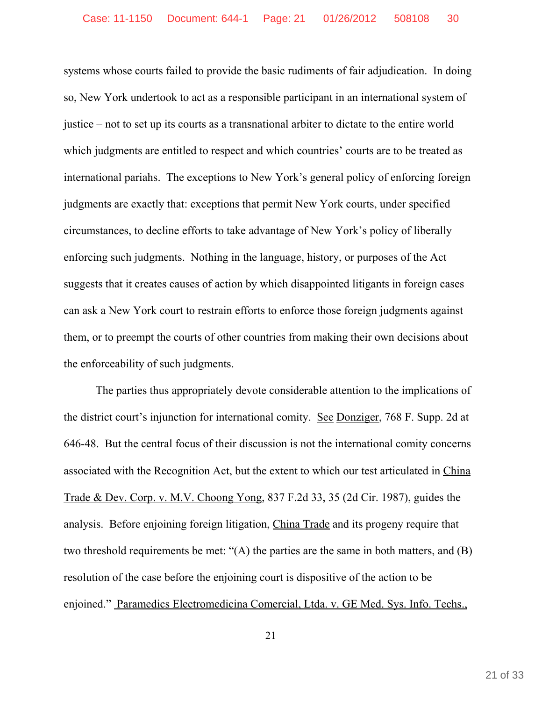systems whose courts failed to provide the basic rudiments of fair adjudication. In doing so, New York undertook to act as a responsible participant in an international system of justice – not to set up its courts as a transnational arbiter to dictate to the entire world which judgments are entitled to respect and which countries' courts are to be treated as international pariahs. The exceptions to New York's general policy of enforcing foreign judgments are exactly that: exceptions that permit New York courts, under specified circumstances, to decline efforts to take advantage of New York's policy of liberally enforcing such judgments. Nothing in the language, history, or purposes of the Act suggests that it creates causes of action by which disappointed litigants in foreign cases can ask a New York court to restrain efforts to enforce those foreign judgments against them, or to preempt the courts of other countries from making their own decisions about the enforceability of such judgments.

The parties thus appropriately devote considerable attention to the implications of the district court's injunction for international comity. See Donziger, 768 F. Supp. 2d at 646-48. But the central focus of their discussion is not the international comity concerns associated with the Recognition Act, but the extent to which our test articulated in China Trade & Dev. Corp. v. M.V. Choong Yong, 837 F.2d 33, 35 (2d Cir. 1987), guides the analysis. Before enjoining foreign litigation, China Trade and its progeny require that two threshold requirements be met: "(A) the parties are the same in both matters, and (B) resolution of the case before the enjoining court is dispositive of the action to be enjoined." Paramedics Electromedicina Comercial, Ltda. v. GE Med. Sys. Info. Techs.,

21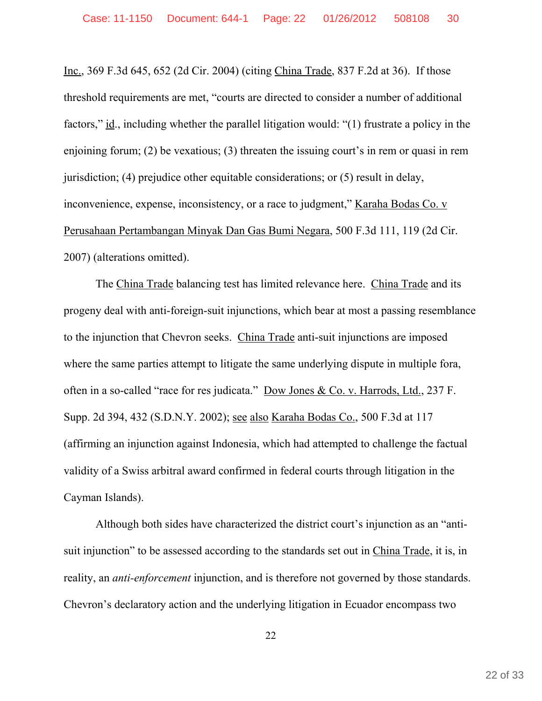Inc., 369 F.3d 645, 652 (2d Cir. 2004) (citing China Trade, 837 F.2d at 36). If those threshold requirements are met, "courts are directed to consider a number of additional factors," id., including whether the parallel litigation would: "(1) frustrate a policy in the enjoining forum; (2) be vexatious; (3) threaten the issuing court's in rem or quasi in rem jurisdiction; (4) prejudice other equitable considerations; or (5) result in delay, inconvenience, expense, inconsistency, or a race to judgment," Karaha Bodas Co. v Perusahaan Pertambangan Minyak Dan Gas Bumi Negara, 500 F.3d 111, 119 (2d Cir. 2007) (alterations omitted).

The China Trade balancing test has limited relevance here. China Trade and its progeny deal with anti-foreign-suit injunctions, which bear at most a passing resemblance to the injunction that Chevron seeks. China Trade anti-suit injunctions are imposed where the same parties attempt to litigate the same underlying dispute in multiple fora, often in a so-called "race for res judicata." Dow Jones & Co. v. Harrods, Ltd., 237 F. Supp. 2d 394, 432 (S.D.N.Y. 2002); see also Karaha Bodas Co., 500 F.3d at 117 (affirming an injunction against Indonesia, which had attempted to challenge the factual validity of a Swiss arbitral award confirmed in federal courts through litigation in the Cayman Islands).

Although both sides have characterized the district court's injunction as an "antisuit injunction" to be assessed according to the standards set out in China Trade, it is, in reality, an *anti-enforcement* injunction, and is therefore not governed by those standards. Chevron's declaratory action and the underlying litigation in Ecuador encompass two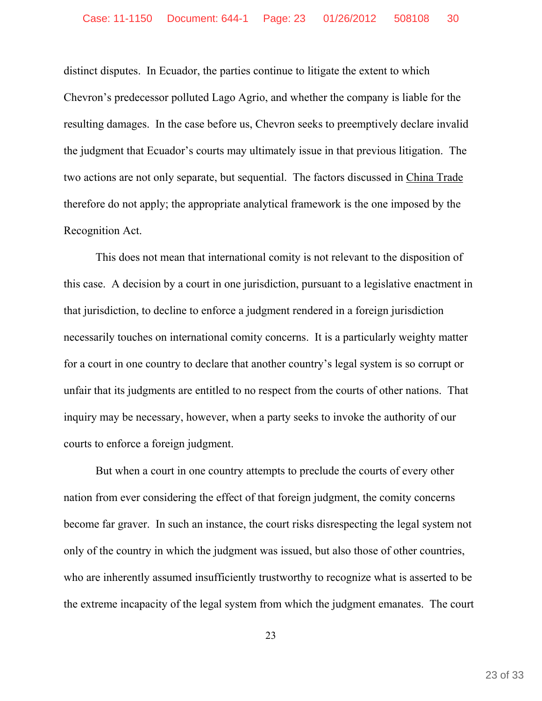distinct disputes. In Ecuador, the parties continue to litigate the extent to which Chevron's predecessor polluted Lago Agrio, and whether the company is liable for the resulting damages. In the case before us, Chevron seeks to preemptively declare invalid the judgment that Ecuador's courts may ultimately issue in that previous litigation. The two actions are not only separate, but sequential. The factors discussed in China Trade therefore do not apply; the appropriate analytical framework is the one imposed by the Recognition Act.

This does not mean that international comity is not relevant to the disposition of this case. A decision by a court in one jurisdiction, pursuant to a legislative enactment in that jurisdiction, to decline to enforce a judgment rendered in a foreign jurisdiction necessarily touches on international comity concerns. It is a particularly weighty matter for a court in one country to declare that another country's legal system is so corrupt or unfair that its judgments are entitled to no respect from the courts of other nations. That inquiry may be necessary, however, when a party seeks to invoke the authority of our courts to enforce a foreign judgment.

But when a court in one country attempts to preclude the courts of every other nation from ever considering the effect of that foreign judgment, the comity concerns become far graver. In such an instance, the court risks disrespecting the legal system not only of the country in which the judgment was issued, but also those of other countries, who are inherently assumed insufficiently trustworthy to recognize what is asserted to be the extreme incapacity of the legal system from which the judgment emanates. The court

23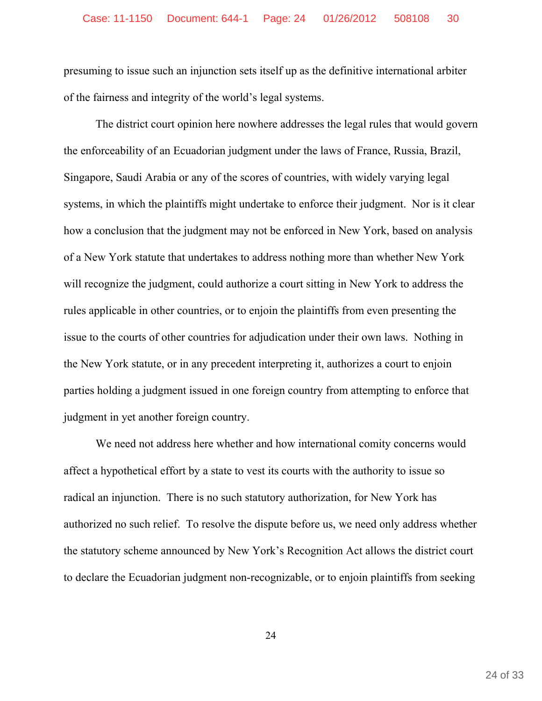presuming to issue such an injunction sets itself up as the definitive international arbiter of the fairness and integrity of the world's legal systems.

The district court opinion here nowhere addresses the legal rules that would govern the enforceability of an Ecuadorian judgment under the laws of France, Russia, Brazil, Singapore, Saudi Arabia or any of the scores of countries, with widely varying legal systems, in which the plaintiffs might undertake to enforce their judgment. Nor is it clear how a conclusion that the judgment may not be enforced in New York, based on analysis of a New York statute that undertakes to address nothing more than whether New York will recognize the judgment, could authorize a court sitting in New York to address the rules applicable in other countries, or to enjoin the plaintiffs from even presenting the issue to the courts of other countries for adjudication under their own laws. Nothing in the New York statute, or in any precedent interpreting it, authorizes a court to enjoin parties holding a judgment issued in one foreign country from attempting to enforce that judgment in yet another foreign country.

We need not address here whether and how international comity concerns would affect a hypothetical effort by a state to vest its courts with the authority to issue so radical an injunction. There is no such statutory authorization, for New York has authorized no such relief. To resolve the dispute before us, we need only address whether the statutory scheme announced by New York's Recognition Act allows the district court to declare the Ecuadorian judgment non-recognizable, or to enjoin plaintiffs from seeking

24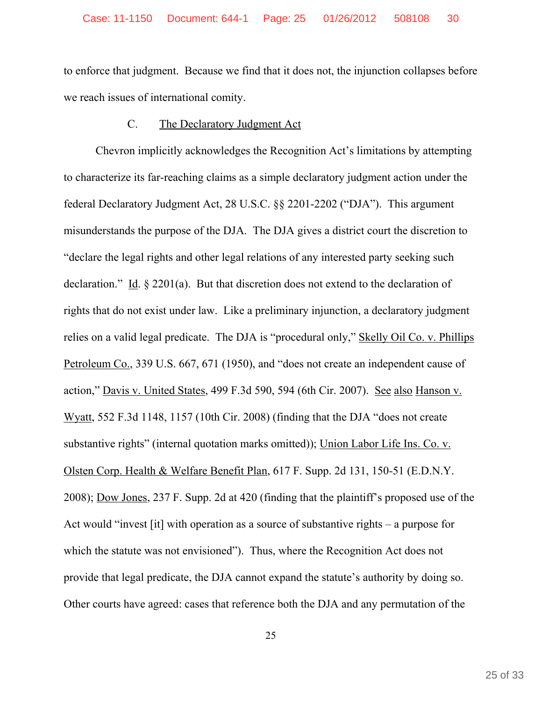to enforce that judgment. Because we find that it does not, the injunction collapses before we reach issues of international comity.

## C. The Declaratory Judgment Act

Chevron implicitly acknowledges the Recognition Act's limitations by attempting to characterize its far-reaching claims as a simple declaratory judgment action under the federal Declaratory Judgment Act, 28 U.S.C. §§ 2201-2202 ("DJA"). This argument misunderstands the purpose of the DJA. The DJA gives a district court the discretion to "declare the legal rights and other legal relations of any interested party seeking such declaration." Id. § 2201(a). But that discretion does not extend to the declaration of rights that do not exist under law. Like a preliminary injunction, a declaratory judgment relies on a valid legal predicate. The DJA is "procedural only," Skelly Oil Co. v. Phillips Petroleum Co., 339 U.S. 667, 671 (1950), and "does not create an independent cause of action," Davis v. United States, 499 F.3d 590, 594 (6th Cir. 2007). See also Hanson v. Wyatt, 552 F.3d 1148, 1157 (10th Cir. 2008) (finding that the DJA "does not create substantive rights" (internal quotation marks omitted)); Union Labor Life Ins. Co. v. Olsten Corp. Health & Welfare Benefit Plan, 617 F. Supp. 2d 131, 150-51 (E.D.N.Y. 2008); Dow Jones, 237 F. Supp. 2d at 420 (finding that the plaintiff's proposed use of the Act would "invest [it] with operation as a source of substantive rights – a purpose for which the statute was not envisioned"). Thus, where the Recognition Act does not provide that legal predicate, the DJA cannot expand the statute's authority by doing so. Other courts have agreed: cases that reference both the DJA and any permutation of the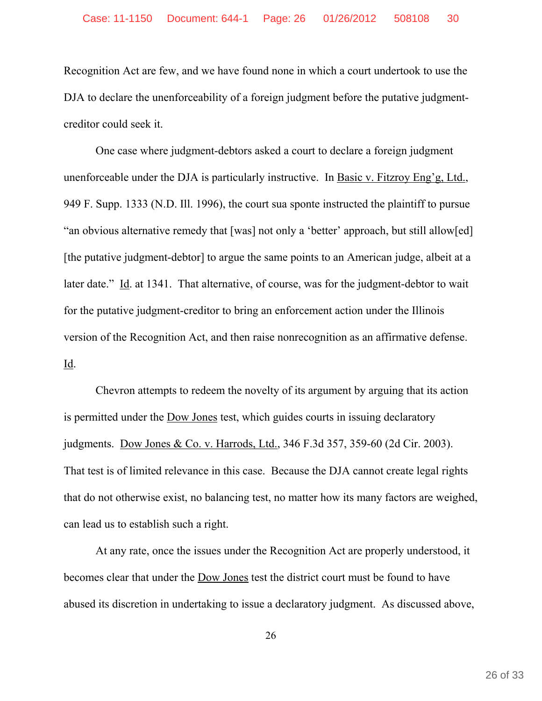Recognition Act are few, and we have found none in which a court undertook to use the DJA to declare the unenforceability of a foreign judgment before the putative judgmentcreditor could seek it.

One case where judgment-debtors asked a court to declare a foreign judgment unenforceable under the DJA is particularly instructive. In Basic v. Fitzroy Eng'g, Ltd., 949 F. Supp. 1333 (N.D. Ill. 1996), the court sua sponte instructed the plaintiff to pursue "an obvious alternative remedy that [was] not only a 'better' approach, but still allow[ed] [the putative judgment-debtor] to argue the same points to an American judge, albeit at a later date." Id. at 1341. That alternative, of course, was for the judgment-debtor to wait for the putative judgment-creditor to bring an enforcement action under the Illinois version of the Recognition Act, and then raise nonrecognition as an affirmative defense. Id.

Chevron attempts to redeem the novelty of its argument by arguing that its action is permitted under the Dow Jones test, which guides courts in issuing declaratory judgments. Dow Jones & Co. v. Harrods, Ltd., 346 F.3d 357, 359-60 (2d Cir. 2003). That test is of limited relevance in this case. Because the DJA cannot create legal rights that do not otherwise exist, no balancing test, no matter how its many factors are weighed, can lead us to establish such a right.

At any rate, once the issues under the Recognition Act are properly understood, it becomes clear that under the Dow Jones test the district court must be found to have abused its discretion in undertaking to issue a declaratory judgment. As discussed above,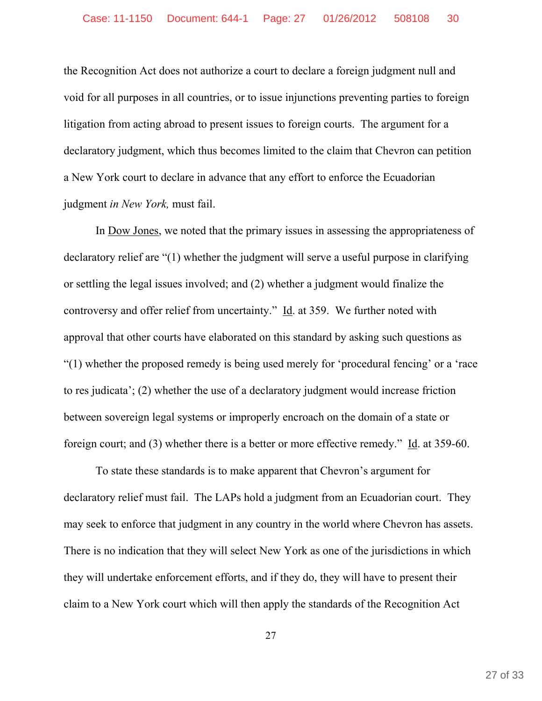the Recognition Act does not authorize a court to declare a foreign judgment null and void for all purposes in all countries, or to issue injunctions preventing parties to foreign litigation from acting abroad to present issues to foreign courts. The argument for a declaratory judgment, which thus becomes limited to the claim that Chevron can petition a New York court to declare in advance that any effort to enforce the Ecuadorian judgment *in New York,* must fail.

In Dow Jones, we noted that the primary issues in assessing the appropriateness of declaratory relief are "(1) whether the judgment will serve a useful purpose in clarifying or settling the legal issues involved; and (2) whether a judgment would finalize the controversy and offer relief from uncertainty." Id. at 359. We further noted with approval that other courts have elaborated on this standard by asking such questions as "(1) whether the proposed remedy is being used merely for 'procedural fencing' or a 'race to res judicata'; (2) whether the use of a declaratory judgment would increase friction between sovereign legal systems or improperly encroach on the domain of a state or foreign court; and (3) whether there is a better or more effective remedy." Id. at 359-60.

To state these standards is to make apparent that Chevron's argument for declaratory relief must fail. The LAPs hold a judgment from an Ecuadorian court. They may seek to enforce that judgment in any country in the world where Chevron has assets. There is no indication that they will select New York as one of the jurisdictions in which they will undertake enforcement efforts, and if they do, they will have to present their claim to a New York court which will then apply the standards of the Recognition Act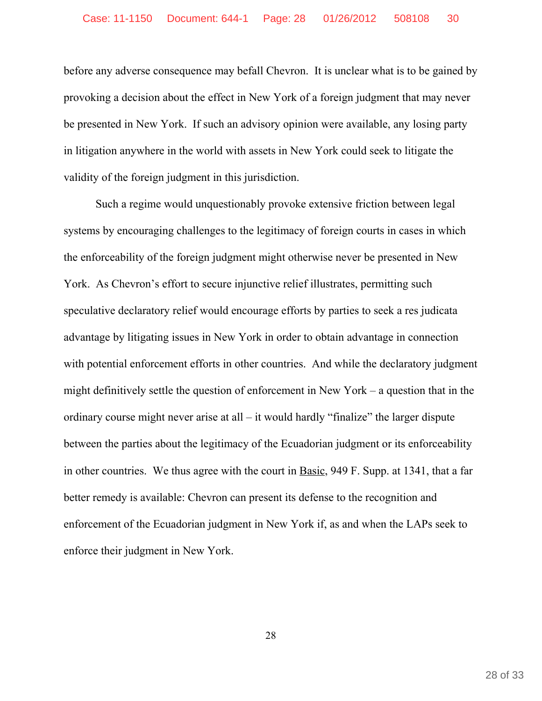before any adverse consequence may befall Chevron. It is unclear what is to be gained by provoking a decision about the effect in New York of a foreign judgment that may never be presented in New York. If such an advisory opinion were available, any losing party in litigation anywhere in the world with assets in New York could seek to litigate the validity of the foreign judgment in this jurisdiction.

Such a regime would unquestionably provoke extensive friction between legal systems by encouraging challenges to the legitimacy of foreign courts in cases in which the enforceability of the foreign judgment might otherwise never be presented in New York. As Chevron's effort to secure injunctive relief illustrates, permitting such speculative declaratory relief would encourage efforts by parties to seek a res judicata advantage by litigating issues in New York in order to obtain advantage in connection with potential enforcement efforts in other countries. And while the declaratory judgment might definitively settle the question of enforcement in New York – a question that in the ordinary course might never arise at all – it would hardly "finalize" the larger dispute between the parties about the legitimacy of the Ecuadorian judgment or its enforceability in other countries. We thus agree with the court in Basic, 949 F. Supp. at 1341, that a far better remedy is available: Chevron can present its defense to the recognition and enforcement of the Ecuadorian judgment in New York if, as and when the LAPs seek to enforce their judgment in New York.

28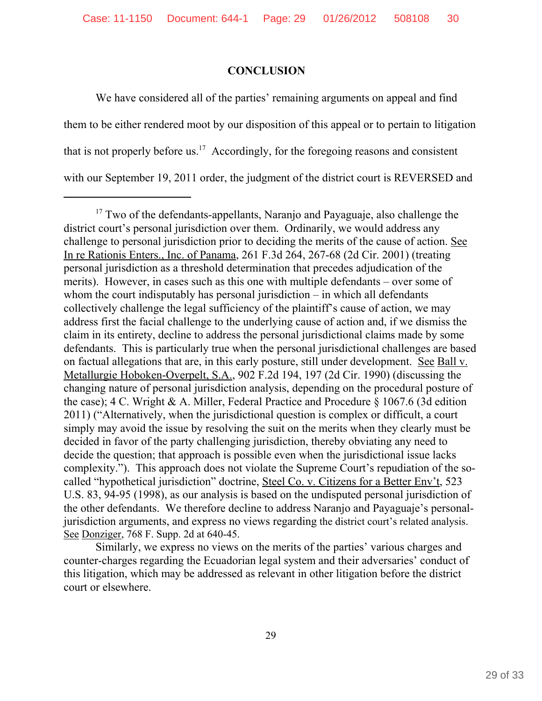# **CONCLUSION**

We have considered all of the parties' remaining arguments on appeal and find them to be either rendered moot by our disposition of this appeal or to pertain to litigation that is not properly before us.<sup>17</sup> Accordingly, for the foregoing reasons and consistent with our September 19, 2011 order, the judgment of the district court is REVERSED and

Similarly, we express no views on the merits of the parties' various charges and counter-charges regarding the Ecuadorian legal system and their adversaries' conduct of this litigation, which may be addressed as relevant in other litigation before the district court or elsewhere.

<sup>&</sup>lt;sup>17</sup> Two of the defendants-appellants, Naranjo and Payaguaje, also challenge the district court's personal jurisdiction over them. Ordinarily, we would address any challenge to personal jurisdiction prior to deciding the merits of the cause of action. See In re Rationis Enters., Inc. of Panama, 261 F.3d 264, 267-68 (2d Cir. 2001) (treating personal jurisdiction as a threshold determination that precedes adjudication of the merits). However, in cases such as this one with multiple defendants – over some of whom the court indisputably has personal jurisdiction – in which all defendants collectively challenge the legal sufficiency of the plaintiff's cause of action, we may address first the facial challenge to the underlying cause of action and, if we dismiss the claim in its entirety, decline to address the personal jurisdictional claims made by some defendants. This is particularly true when the personal jurisdictional challenges are based on factual allegations that are, in this early posture, still under development. See Ball v. Metallurgie Hoboken-Overpelt, S.A., 902 F.2d 194, 197 (2d Cir. 1990) (discussing the changing nature of personal jurisdiction analysis, depending on the procedural posture of the case); 4 C. Wright & A. Miller, Federal Practice and Procedure § 1067.6 (3d edition 2011) ("Alternatively, when the jurisdictional question is complex or difficult, a court simply may avoid the issue by resolving the suit on the merits when they clearly must be decided in favor of the party challenging jurisdiction, thereby obviating any need to decide the question; that approach is possible even when the jurisdictional issue lacks complexity."). This approach does not violate the Supreme Court's repudiation of the socalled "hypothetical jurisdiction" doctrine, Steel Co. v. Citizens for a Better Env't, 523 U.S. 83, 94-95 (1998), as our analysis is based on the undisputed personal jurisdiction of the other defendants. We therefore decline to address Naranjo and Payaguaje's personaljurisdiction arguments, and express no views regarding the district court's related analysis. See Donziger, 768 F. Supp. 2d at 640-45.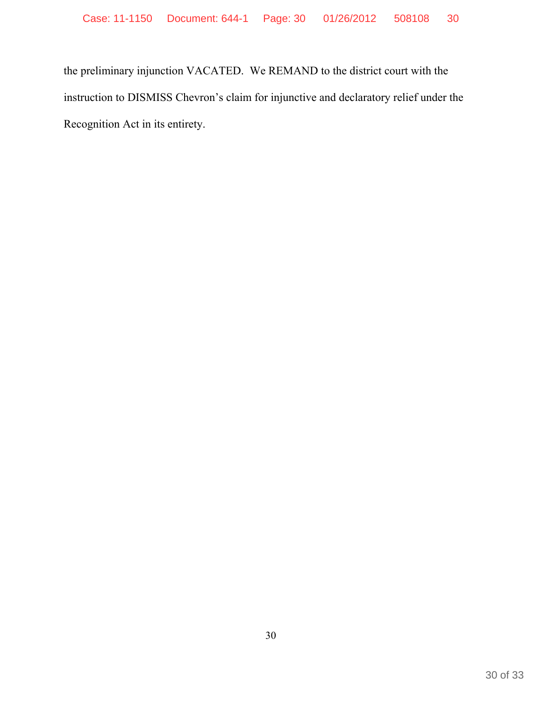the preliminary injunction VACATED. We REMAND to the district court with the instruction to DISMISS Chevron's claim for injunctive and declaratory relief under the Recognition Act in its entirety.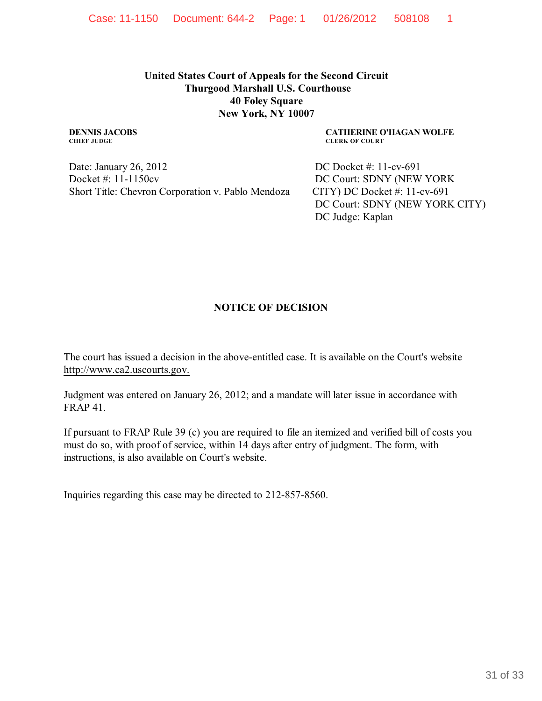**United States Court of Appeals for the Second Circuit Thurgood Marshall U.S. Courthouse 40 Foley Square New York, NY 10007**

#### **DENNIS JACOBS CHIEF JUDGE**

Date: January 26, 2012 Docket #: 11-1150cv Short Title: Chevron Corporation v. Pablo Mendoza **CATHERINE O'HAGAN WOLFE CLERK OF COURT**

DC Docket #: 11-cv-691 DC Court: SDNY (NEW YORK CITY) DC Docket #: 11-cv-691 DC Court: SDNY (NEW YORK CITY) DC Judge: Kaplan

# **NOTICE OF DECISION**

The court has issued a decision in the above-entitled case. It is available on the Court's website http://www.ca2.uscourts.gov.

Judgment was entered on January 26, 2012; and a mandate will later issue in accordance with FRAP 41.

If pursuant to FRAP Rule 39 (c) you are required to file an itemized and verified bill of costs you must do so, with proof of service, within 14 days after entry of judgment. The form, with instructions, is also available on Court's website.

Inquiries regarding this case may be directed to 212-857-8560.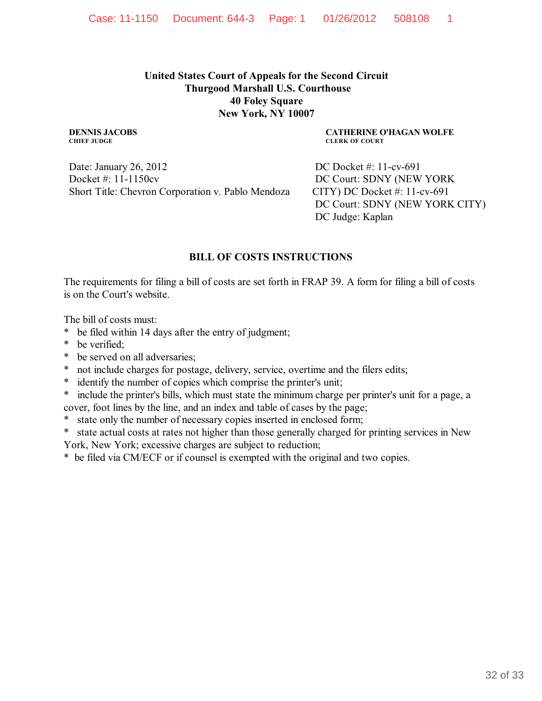### **United States Court of Appeals for the Second Circuit Thurgood Marshall U.S. Courthouse 40 Foley Square New York, NY 10007**

**DENNIS JACOBS CHIEF JUDGE**

Date: January 26, 2012 Docket #: 11-1150cv Short Title: Chevron Corporation v. Pablo Mendoza **CATHERINE O'HAGAN WOLFE CLERK OF COURT**

DC Docket #: 11-cv-691 DC Court: SDNY (NEW YORK CITY) DC Docket #: 11-cv-691 DC Court: SDNY (NEW YORK CITY) DC Judge: Kaplan

### **BILL OF COSTS INSTRUCTIONS**

The requirements for filing a bill of costs are set forth in FRAP 39. A form for filing a bill of costs is on the Court's website.

The bill of costs must:

- \* be filed within 14 days after the entry of judgment;
- \* be verified;
- \* be served on all adversaries;
- \* not include charges for postage, delivery, service, overtime and the filers edits;
- \* identify the number of copies which comprise the printer's unit;
- include the printer's bills, which must state the minimum charge per printer's unit for a page, a cover, foot lines by the line, and an index and table of cases by the page;
- state only the number of necessary copies inserted in enclosed form;

\* state actual costs at rates not higher than those generally charged for printing services in New York, New York; excessive charges are subject to reduction;

\* be filed via CM/ECF or if counsel is exempted with the original and two copies.